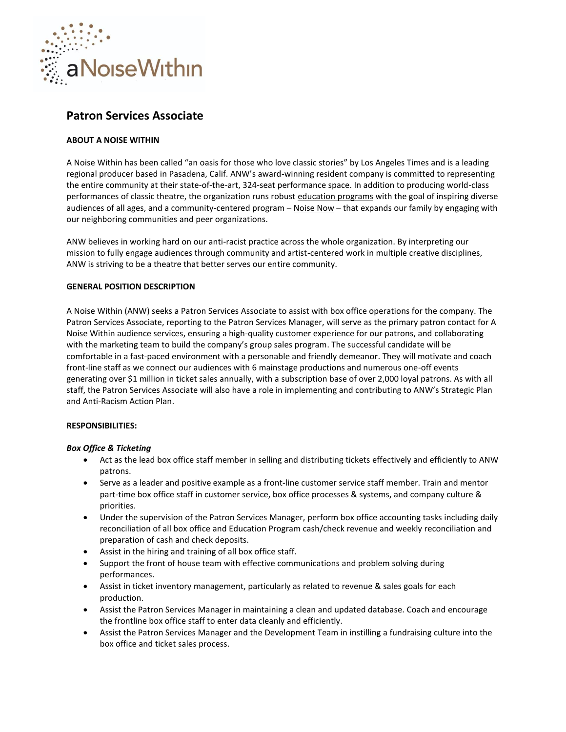

# **Patron Services Associate**

## **ABOUT A NOISE WITHIN**

A Noise Within has been called "an oasis for those who love classic stories" by Los Angeles Times and is a leading regional producer based in Pasadena, Calif. ANW's award-winning resident company is committed to representing the entire community at their state-of-the-art, 324-seat performance space. In addition to producing world-class performances of classic theatre, the organization runs robust [education programs](https://www.anoisewithin.org/education/for-educators/) with the goal of inspiring diverse audiences of all ages, and a community-centered program - [Noise Now](https://www.anoisewithin.org/noise-now/) - that expands our family by engaging with our neighboring communities and peer organizations.

ANW believes in working hard on our anti-racist practice across the whole organization. By interpreting our mission to fully engage audiences through community and artist-centered work in multiple creative disciplines, ANW is striving to be a theatre that better serves our entire community.

## **GENERAL POSITION DESCRIPTION**

A Noise Within (ANW) seeks a Patron Services Associate to assist with box office operations for the company. The Patron Services Associate, reporting to the Patron Services Manager, will serve as the primary patron contact for A Noise Within audience services, ensuring a high-quality customer experience for our patrons, and collaborating with the marketing team to build the company's group sales program. The successful candidate will be comfortable in a fast-paced environment with a personable and friendly demeanor. They will motivate and coach front-line staff as we connect our audiences with 6 mainstage productions and numerous one-off events generating over \$1 million in ticket sales annually, with a subscription base of over 2,000 loyal patrons. As with all staff, the Patron Services Associate will also have a role in implementing and contributing to ANW's Strategic Plan and Anti-Racism Action Plan.

## **RESPONSIBILITIES:**

## *Box Office & Ticketing*

- Act as the lead box office staff member in selling and distributing tickets effectively and efficiently to ANW patrons.
- Serve as a leader and positive example as a front-line customer service staff member. Train and mentor part-time box office staff in customer service, box office processes & systems, and company culture & priorities.
- Under the supervision of the Patron Services Manager, perform box office accounting tasks including daily reconciliation of all box office and Education Program cash/check revenue and weekly reconciliation and preparation of cash and check deposits.
- Assist in the hiring and training of all box office staff.
- Support the front of house team with effective communications and problem solving during performances.
- Assist in ticket inventory management, particularly as related to revenue & sales goals for each production.
- Assist the Patron Services Manager in maintaining a clean and updated database. Coach and encourage the frontline box office staff to enter data cleanly and efficiently.
- Assist the Patron Services Manager and the Development Team in instilling a fundraising culture into the box office and ticket sales process.